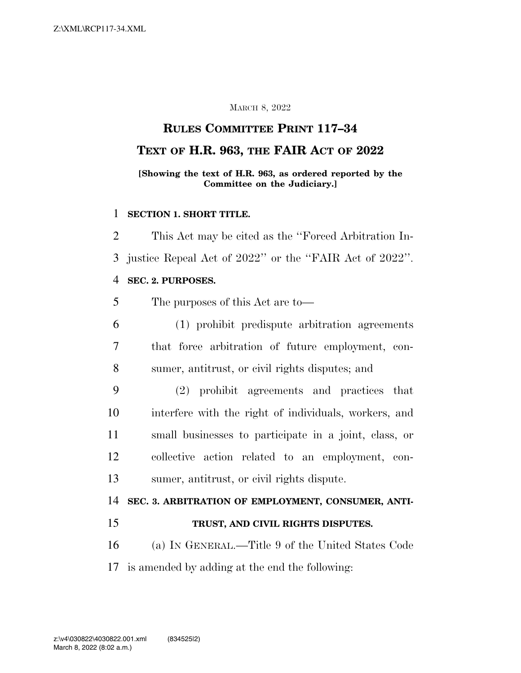## MARCH 8, 2022

## **RULES COMMITTEE PRINT 117–34**

## **TEXT OF H.R. 963, THE FAIR ACT OF 2022**

## **[Showing the text of H.R. 963, as ordered reported by the Committee on the Judiciary.]**

### **SECTION 1. SHORT TITLE.**

 This Act may be cited as the ''Forced Arbitration In- justice Repeal Act of 2022'' or the ''FAIR Act of 2022''. **SEC. 2. PURPOSES.** 

## The purposes of this Act are to—

- (1) prohibit predispute arbitration agreements that force arbitration of future employment, con-sumer, antitrust, or civil rights disputes; and
- (2) prohibit agreements and practices that interfere with the right of individuals, workers, and small businesses to participate in a joint, class, or collective action related to an employment, con-sumer, antitrust, or civil rights dispute.

# **SEC. 3. ARBITRATION OF EMPLOYMENT, CONSUMER, ANTI-**

**TRUST, AND CIVIL RIGHTS DISPUTES.** 

 (a) IN GENERAL.—Title 9 of the United States Code is amended by adding at the end the following: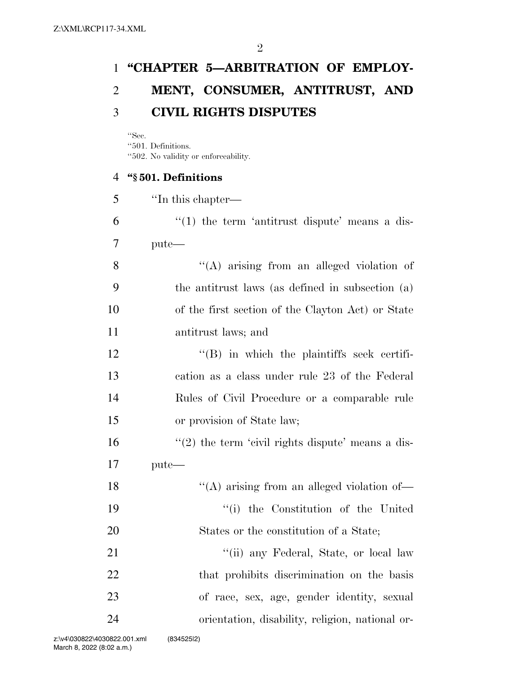## **''CHAPTER 5—ARBITRATION OF EMPLOY- MENT, CONSUMER, ANTITRUST, AND CIVIL RIGHTS DISPUTES**

''Sec.

''501. Definitions.

''502. No validity or enforceability.

## **''§ 501. Definitions**

| 5  | "In this chapter—                                     |
|----|-------------------------------------------------------|
| 6  | $\cdot$ (1) the term 'antitrust dispute' means a dis- |
| 7  | $pute$ —                                              |
| 8  | $\lq\lq$ arising from an alleged violation of         |
| 9  | the antitrust laws (as defined in subsection (a)      |
| 10 | of the first section of the Clayton Act) or State     |
| 11 | antitrust laws; and                                   |
| 12 | $\lq\lq$ . In which the plaintiffs seek certifi-      |
| 13 | cation as a class under rule 23 of the Federal        |
| 14 | Rules of Civil Procedure or a comparable rule         |
| 15 | or provision of State law;                            |
| 16 | $\lq(2)$ the term 'civil rights dispute' means a dis- |
| 17 | pute-                                                 |
| 18 | "(A) arising from an alleged violation of-            |
| 19 | "(i) the Constitution of the United                   |
| 20 | States or the constitution of a State;                |
| 21 | "(ii) any Federal, State, or local law                |
| 22 | that prohibits discrimination on the basis            |
| 23 | of race, sex, age, gender identity, sexual            |
| 24 | orientation, disability, religion, national or-       |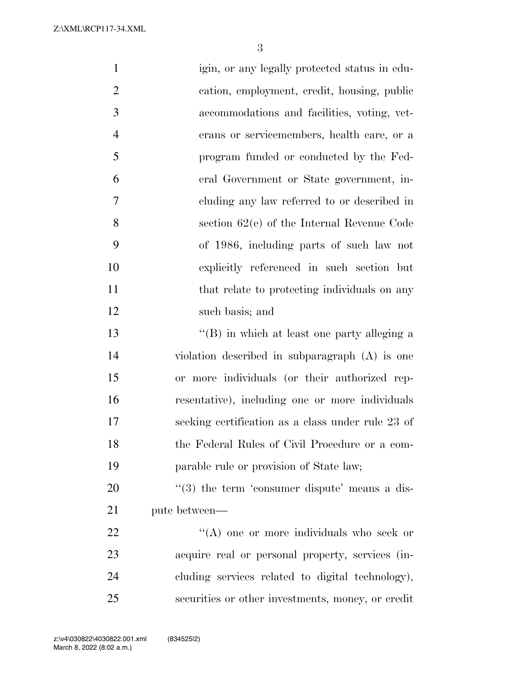Z:\XML\RCP117-34.XML

| $\mathbf{1}$   | igin, or any legally protected status in edu-             |
|----------------|-----------------------------------------------------------|
| $\overline{2}$ | cation, employment, credit, housing, public               |
| 3              | accommodations and facilities, voting, vet-               |
| $\overline{4}$ | erans or servicemembers, health care, or a                |
| 5              | program funded or conducted by the Fed-                   |
| 6              | eral Government or State government, in-                  |
| 7              | cluding any law referred to or described in               |
| 8              | section $62(e)$ of the Internal Revenue Code              |
| 9              | of 1986, including parts of such law not                  |
| 10             | explicitly referenced in such section but                 |
| 11             | that relate to protecting individuals on any              |
| 12             | such basis; and                                           |
| 13             | $\lq\lq (B)$ in which at least one party alleging a       |
| 14             | violation described in subparagraph (A) is one            |
| 15             | or more individuals (or their authorized rep-             |
| 16             | resentative), including one or more individuals           |
| 17             | seeking certification as a class under rule 23 of         |
| 18             | the Federal Rules of Civil Procedure or a com-            |
| 19             | parable rule or provision of State law;                   |
| 20             | $\cdot\cdot$ (3) the term 'consumer dispute' means a dis- |
| 21             | pute between—                                             |
| 22             | "(A) one or more individuals who seek or                  |
| 23             | acquire real or personal property, services (in-          |
| 24             | cluding services related to digital technology),          |
| 25             | securities or other investments, money, or credit         |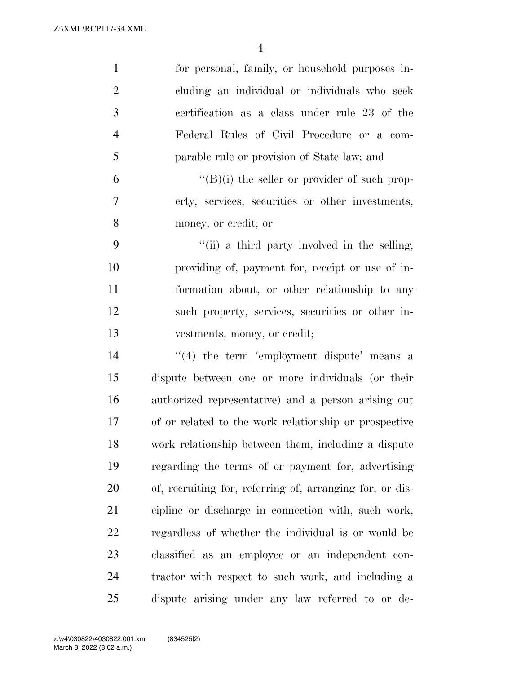| $\mathbf{1}$   | for personal, family, or household purposes in-          |
|----------------|----------------------------------------------------------|
| $\overline{2}$ | cluding an individual or individuals who seek            |
| 3              | certification as a class under rule 23 of the            |
| $\overline{4}$ | Federal Rules of Civil Procedure or a com-               |
| 5              | parable rule or provision of State law; and              |
| 6              | $\lq\lq (B)(i)$ the seller or provider of such prop-     |
| 7              | erty, services, securities or other investments,         |
| 8              | money, or credit; or                                     |
| 9              | "(ii) a third party involved in the selling,             |
| 10             | providing of, payment for, receipt or use of in-         |
| 11             | formation about, or other relationship to any            |
| 12             | such property, services, securities or other in-         |
| 13             | vestments, money, or credit;                             |
| 14             | $\cdot$ (4) the term 'employment dispute' means a        |
| 15             | dispute between one or more individuals (or their        |
| 16             | authorized representative) and a person arising out      |
| 17             | of or related to the work relationship or prospective    |
| 18             | work relationship between them, including a dispute      |
| 19             | regarding the terms of or payment for, advertising       |
| 20             | of, recruiting for, referring of, arranging for, or dis- |
| 21             | cipline or discharge in connection with, such work,      |
| 22             | regardless of whether the individual is or would be      |
| 23             | classified as an employee or an independent con-         |
| 24             | tractor with respect to such work, and including a       |
| 25             | dispute arising under any law referred to or de-         |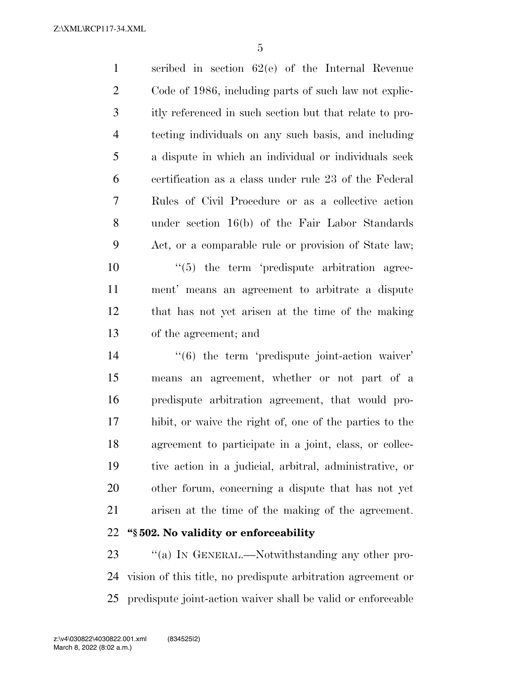Z:\XML\RCP117-34.XML

 scribed in section 62(e) of the Internal Revenue Code of 1986, including parts of such law not explic- itly referenced in such section but that relate to pro- tecting individuals on any such basis, and including a dispute in which an individual or individuals seek certification as a class under rule 23 of the Federal Rules of Civil Procedure or as a collective action under section 16(b) of the Fair Labor Standards Act, or a comparable rule or provision of State law;

  $\frac{4}{5}$  the term 'predispute arbitration agree- ment' means an agreement to arbitrate a dispute that has not yet arisen at the time of the making of the agreement; and

 $\frac{1}{6}$  the term 'predispute joint-action waiver' means an agreement, whether or not part of a predispute arbitration agreement, that would pro- hibit, or waive the right of, one of the parties to the agreement to participate in a joint, class, or collec- tive action in a judicial, arbitral, administrative, or other forum, concerning a dispute that has not yet arisen at the time of the making of the agreement. **''§ 502. No validity or enforceability** 

23 "(a) In GENERAL.—Notwithstanding any other pro- vision of this title, no predispute arbitration agreement or predispute joint-action waiver shall be valid or enforceable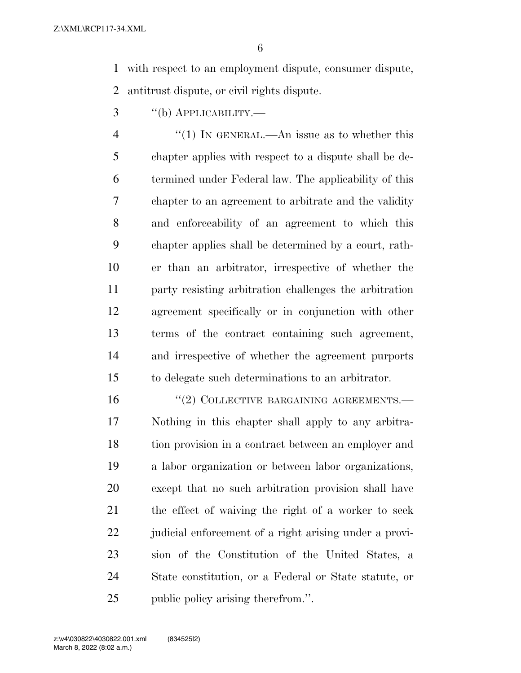with respect to an employment dispute, consumer dispute, antitrust dispute, or civil rights dispute.

''(b) APPLICABILITY.—

 $\frac{4}{1}$  In GENERAL.—An issue as to whether this chapter applies with respect to a dispute shall be de- termined under Federal law. The applicability of this chapter to an agreement to arbitrate and the validity and enforceability of an agreement to which this chapter applies shall be determined by a court, rath- er than an arbitrator, irrespective of whether the party resisting arbitration challenges the arbitration agreement specifically or in conjunction with other terms of the contract containing such agreement, and irrespective of whether the agreement purports to delegate such determinations to an arbitrator.

16 "(2) COLLECTIVE BARGAINING AGREEMENTS.— Nothing in this chapter shall apply to any arbitra- tion provision in a contract between an employer and a labor organization or between labor organizations, except that no such arbitration provision shall have the effect of waiving the right of a worker to seek judicial enforcement of a right arising under a provi- sion of the Constitution of the United States, a State constitution, or a Federal or State statute, or public policy arising therefrom.''.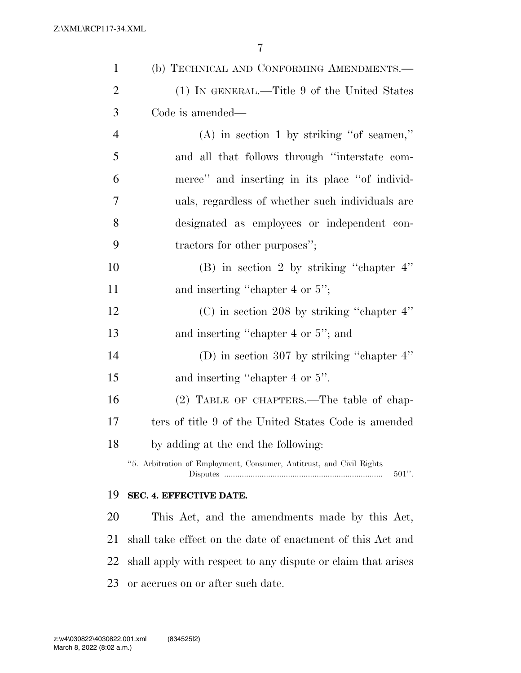| $\mathbf{1}$   | (b) TECHNICAL AND CONFORMING AMENDMENTS.-                                        |
|----------------|----------------------------------------------------------------------------------|
| $\overline{2}$ | (1) IN GENERAL.—Title 9 of the United States                                     |
| 3              | Code is amended—                                                                 |
| $\overline{4}$ | $(A)$ in section 1 by striking "of seamen,"                                      |
| 5              | and all that follows through "interstate com-                                    |
| 6              | merce" and inserting in its place "of individ-                                   |
| 7              | uals, regardless of whether such individuals are                                 |
| 8              | designated as employees or independent con-                                      |
| 9              | tractors for other purposes";                                                    |
| 10             | (B) in section 2 by striking "chapter $4$ "                                      |
| 11             | and inserting "chapter 4 or 5";                                                  |
| 12             | $(C)$ in section 208 by striking "chapter 4"                                     |
| 13             | and inserting "chapter 4 or 5"; and                                              |
| 14             | (D) in section 307 by striking "chapter $4$ "                                    |
| 15             | and inserting "chapter 4 or 5".                                                  |
| 16             | (2) TABLE OF CHAPTERS.—The table of chap-                                        |
| 17             | ters of title 9 of the United States Code is amended                             |
| 18             | by adding at the end the following:                                              |
|                | "5. Arbitration of Employment, Consumer, Antitrust, and Civil Rights<br>$501$ ". |
| 19             | SEC. 4. EFFECTIVE DATE.                                                          |
| 20             | This Act, and the amendments made by this Act,                                   |
| 21             | shall take effect on the date of enactment of this Act and                       |
| 22             | shall apply with respect to any dispute or claim that arises                     |
| 23             | or accrues on or after such date.                                                |